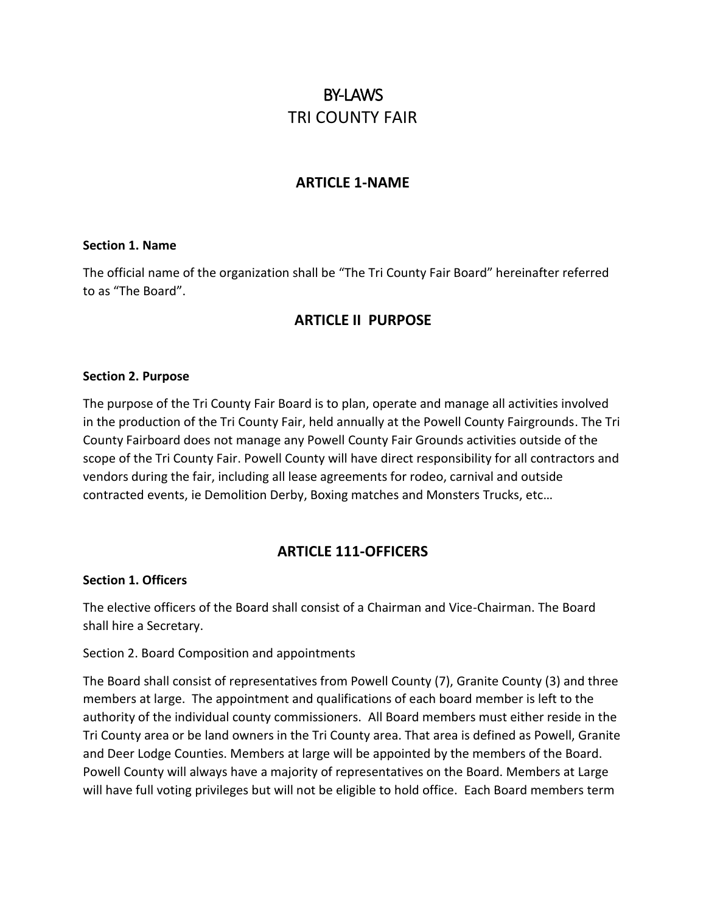# BY-LAWS TRI COUNTY FAIR

# **ARTICLE 1-NAME**

#### **Section 1. Name**

The official name of the organization shall be "The Tri County Fair Board" hereinafter referred to as "The Board".

# **ARTICLE II PURPOSE**

#### **Section 2. Purpose**

The purpose of the Tri County Fair Board is to plan, operate and manage all activities involved in the production of the Tri County Fair, held annually at the Powell County Fairgrounds. The Tri County Fairboard does not manage any Powell County Fair Grounds activities outside of the scope of the Tri County Fair. Powell County will have direct responsibility for all contractors and vendors during the fair, including all lease agreements for rodeo, carnival and outside contracted events, ie Demolition Derby, Boxing matches and Monsters Trucks, etc…

# **ARTICLE 111-OFFICERS**

#### **Section 1. Officers**

The elective officers of the Board shall consist of a Chairman and Vice-Chairman. The Board shall hire a Secretary.

#### Section 2. Board Composition and appointments

The Board shall consist of representatives from Powell County (7), Granite County (3) and three members at large. The appointment and qualifications of each board member is left to the authority of the individual county commissioners. All Board members must either reside in the Tri County area or be land owners in the Tri County area. That area is defined as Powell, Granite and Deer Lodge Counties. Members at large will be appointed by the members of the Board. Powell County will always have a majority of representatives on the Board. Members at Large will have full voting privileges but will not be eligible to hold office. Each Board members term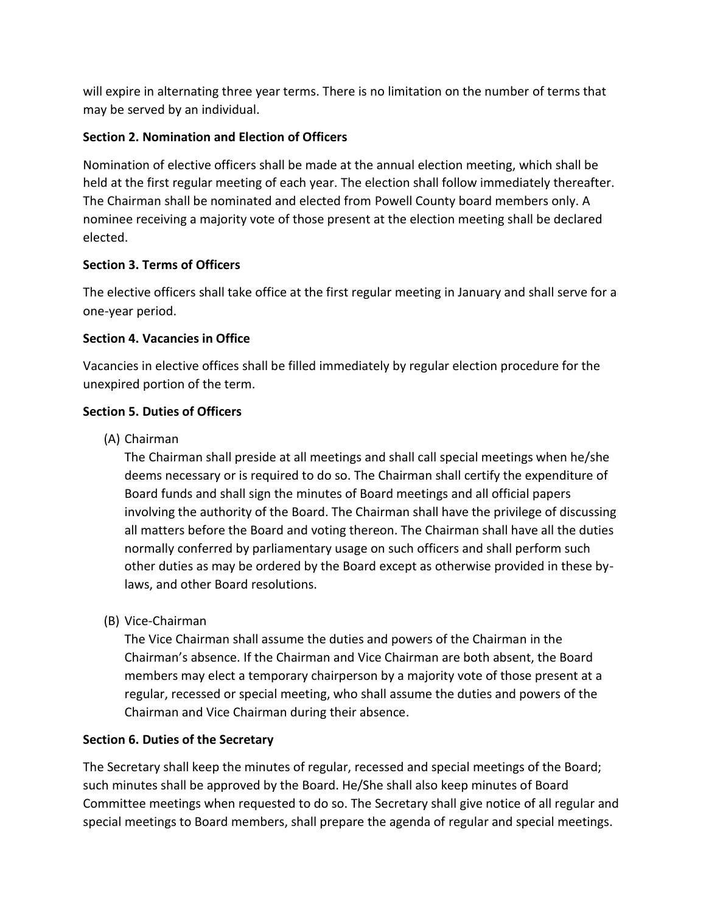will expire in alternating three year terms. There is no limitation on the number of terms that may be served by an individual.

# **Section 2. Nomination and Election of Officers**

Nomination of elective officers shall be made at the annual election meeting, which shall be held at the first regular meeting of each year. The election shall follow immediately thereafter. The Chairman shall be nominated and elected from Powell County board members only. A nominee receiving a majority vote of those present at the election meeting shall be declared elected.

# **Section 3. Terms of Officers**

The elective officers shall take office at the first regular meeting in January and shall serve for a one-year period.

# **Section 4. Vacancies in Office**

Vacancies in elective offices shall be filled immediately by regular election procedure for the unexpired portion of the term.

# **Section 5. Duties of Officers**

(A) Chairman

The Chairman shall preside at all meetings and shall call special meetings when he/she deems necessary or is required to do so. The Chairman shall certify the expenditure of Board funds and shall sign the minutes of Board meetings and all official papers involving the authority of the Board. The Chairman shall have the privilege of discussing all matters before the Board and voting thereon. The Chairman shall have all the duties normally conferred by parliamentary usage on such officers and shall perform such other duties as may be ordered by the Board except as otherwise provided in these bylaws, and other Board resolutions.

(B) Vice-Chairman

The Vice Chairman shall assume the duties and powers of the Chairman in the Chairman's absence. If the Chairman and Vice Chairman are both absent, the Board members may elect a temporary chairperson by a majority vote of those present at a regular, recessed or special meeting, who shall assume the duties and powers of the Chairman and Vice Chairman during their absence.

# **Section 6. Duties of the Secretary**

The Secretary shall keep the minutes of regular, recessed and special meetings of the Board; such minutes shall be approved by the Board. He/She shall also keep minutes of Board Committee meetings when requested to do so. The Secretary shall give notice of all regular and special meetings to Board members, shall prepare the agenda of regular and special meetings.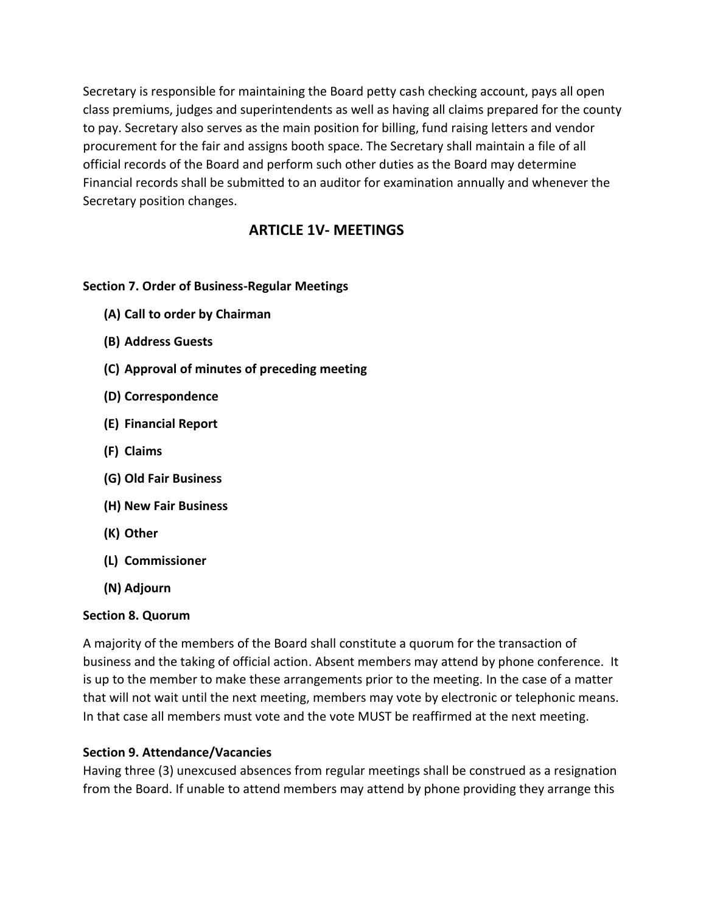Secretary is responsible for maintaining the Board petty cash checking account, pays all open class premiums, judges and superintendents as well as having all claims prepared for the county to pay. Secretary also serves as the main position for billing, fund raising letters and vendor procurement for the fair and assigns booth space. The Secretary shall maintain a file of all official records of the Board and perform such other duties as the Board may determine Financial records shall be submitted to an auditor for examination annually and whenever the Secretary position changes.

# **ARTICLE 1V- MEETINGS**

# **Section 7. Order of Business-Regular Meetings**

- **(A) Call to order by Chairman**
- **(B) Address Guests**
- **(C) Approval of minutes of preceding meeting**
- **(D) Correspondence**
- **(E) Financial Report**
- **(F) Claims**
- **(G) Old Fair Business**
- **(H) New Fair Business**
- **(K) Other**
- **(L) Commissioner**
- **(N) Adjourn**

# **Section 8. Quorum**

A majority of the members of the Board shall constitute a quorum for the transaction of business and the taking of official action. Absent members may attend by phone conference. It is up to the member to make these arrangements prior to the meeting. In the case of a matter that will not wait until the next meeting, members may vote by electronic or telephonic means. In that case all members must vote and the vote MUST be reaffirmed at the next meeting.

# **Section 9. Attendance/Vacancies**

Having three (3) unexcused absences from regular meetings shall be construed as a resignation from the Board. If unable to attend members may attend by phone providing they arrange this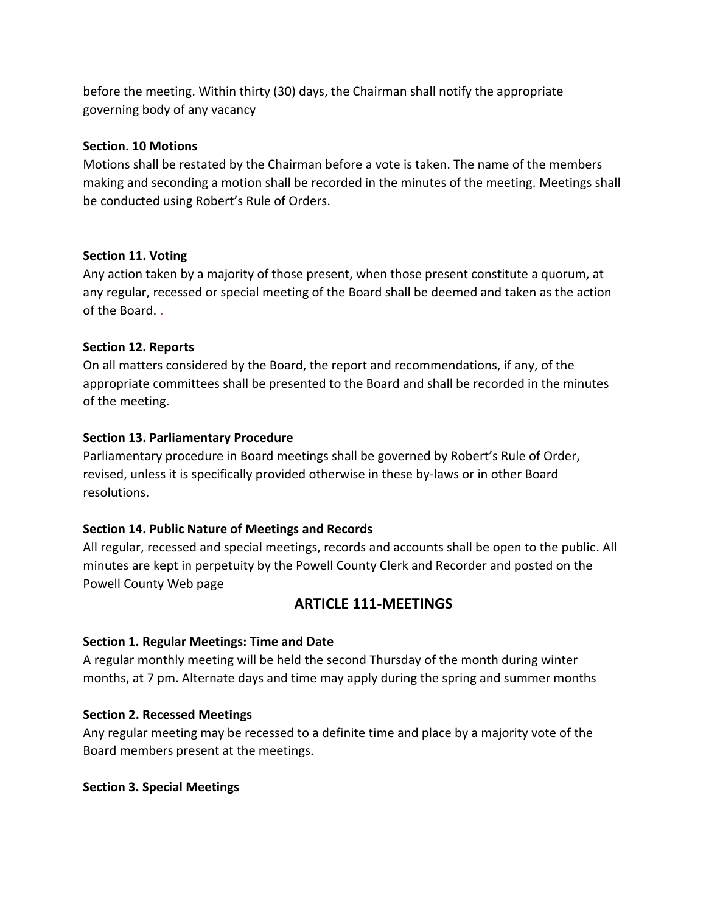before the meeting. Within thirty (30) days, the Chairman shall notify the appropriate governing body of any vacancy

### **Section. 10 Motions**

Motions shall be restated by the Chairman before a vote is taken. The name of the members making and seconding a motion shall be recorded in the minutes of the meeting. Meetings shall be conducted using Robert's Rule of Orders.

#### **Section 11. Voting**

Any action taken by a majority of those present, when those present constitute a quorum, at any regular, recessed or special meeting of the Board shall be deemed and taken as the action of the Board. .

#### **Section 12. Reports**

On all matters considered by the Board, the report and recommendations, if any, of the appropriate committees shall be presented to the Board and shall be recorded in the minutes of the meeting.

#### **Section 13. Parliamentary Procedure**

Parliamentary procedure in Board meetings shall be governed by Robert's Rule of Order, revised, unless it is specifically provided otherwise in these by-laws or in other Board resolutions.

# **Section 14. Public Nature of Meetings and Records**

All regular, recessed and special meetings, records and accounts shall be open to the public. All minutes are kept in perpetuity by the Powell County Clerk and Recorder and posted on the Powell County Web page

# **ARTICLE 111-MEETINGS**

# **Section 1. Regular Meetings: Time and Date**

A regular monthly meeting will be held the second Thursday of the month during winter months, at 7 pm. Alternate days and time may apply during the spring and summer months

#### **Section 2. Recessed Meetings**

Any regular meeting may be recessed to a definite time and place by a majority vote of the Board members present at the meetings.

#### **Section 3. Special Meetings**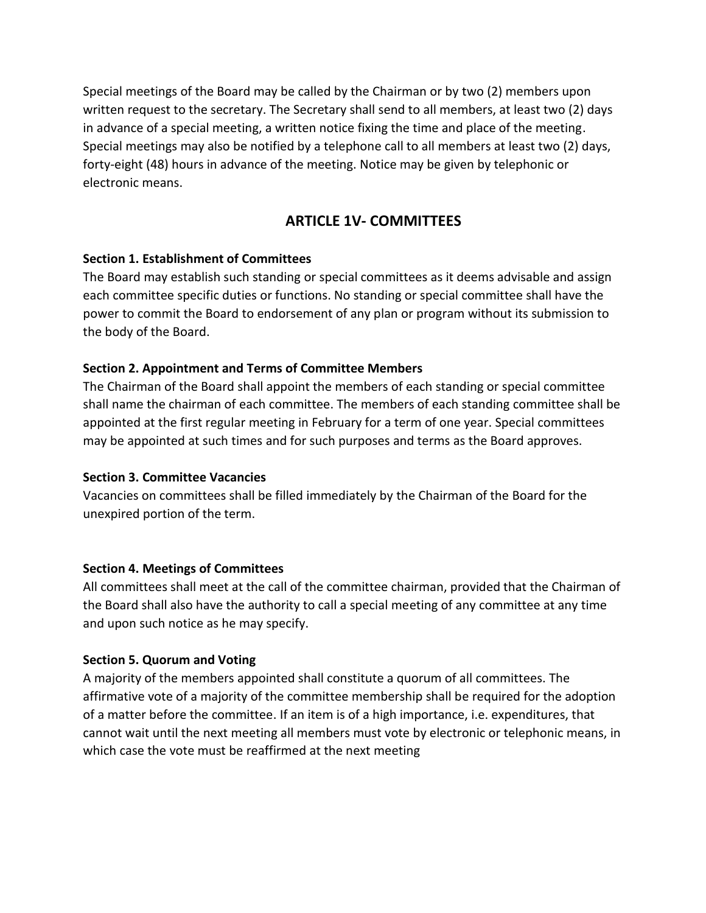Special meetings of the Board may be called by the Chairman or by two (2) members upon written request to the secretary. The Secretary shall send to all members, at least two (2) days in advance of a special meeting, a written notice fixing the time and place of the meeting. Special meetings may also be notified by a telephone call to all members at least two (2) days, forty-eight (48) hours in advance of the meeting. Notice may be given by telephonic or electronic means.

# **ARTICLE 1V- COMMITTEES**

# **Section 1. Establishment of Committees**

The Board may establish such standing or special committees as it deems advisable and assign each committee specific duties or functions. No standing or special committee shall have the power to commit the Board to endorsement of any plan or program without its submission to the body of the Board.

# **Section 2. Appointment and Terms of Committee Members**

The Chairman of the Board shall appoint the members of each standing or special committee shall name the chairman of each committee. The members of each standing committee shall be appointed at the first regular meeting in February for a term of one year. Special committees may be appointed at such times and for such purposes and terms as the Board approves.

# **Section 3. Committee Vacancies**

Vacancies on committees shall be filled immediately by the Chairman of the Board for the unexpired portion of the term.

# **Section 4. Meetings of Committees**

All committees shall meet at the call of the committee chairman, provided that the Chairman of the Board shall also have the authority to call a special meeting of any committee at any time and upon such notice as he may specify.

# **Section 5. Quorum and Voting**

A majority of the members appointed shall constitute a quorum of all committees. The affirmative vote of a majority of the committee membership shall be required for the adoption of a matter before the committee. If an item is of a high importance, i.e. expenditures, that cannot wait until the next meeting all members must vote by electronic or telephonic means, in which case the vote must be reaffirmed at the next meeting